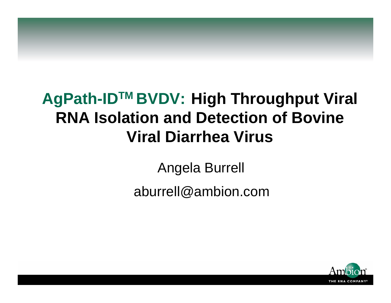### **AgPath-IDTM BVDV: High Throughput Viral RNA Isolation and Detection of Bovine Viral Diarrhea Virus**

Angela Burrell

aburrell@ambion.com

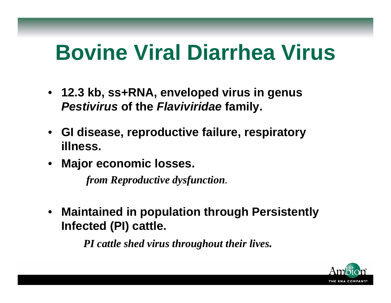# **Bovine Viral Diarrhea Virus**

- **12.3 kb, ss+RNA, enveloped virus in genus**  *Pestivirus* **of the** *Flaviviridae* **family.**
- **GI disease, reproductive failure, respiratory illness.**
- **Major economic losses.**

*from Reproductive dysfunction.*

• **Maintained in population through Persistently Infected (PI) cattle.**

*PI cattle shed virus throughout their lives.*

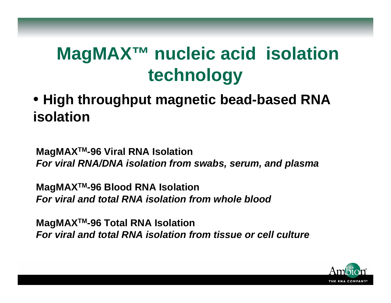## **MagMAX™ nucleic acid isolation technology**

• **High throughput magnetic bead-based RNA isolation**

**MagMAXTM-96 Viral RNA Isolation** *For viral RNA/D NA isolation from swabs, serum, and plasma*

**MagMAXTM-96 Blood RNA Isolation** *For viral and total RNA isolation from whole blood*

**MagMAXTM-96 Total RNA Isolation** *For viral and total RNA isolation from tissue or cell culture*

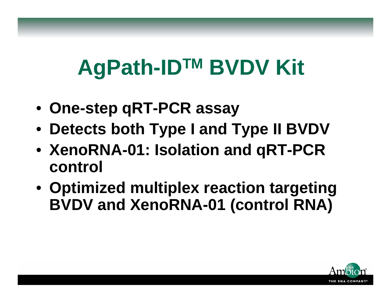# **AgPath-IDTM BVDV Kit**

- **One-step qRT-PCR assay**
- **Detects both Type I and Type II BVDV**
- **XenoRNA-01: Isolation and qRT-PCR control**
- **Optimized multiplex reaction targeting BVDV and XenoRNA-01 (control RNA)**

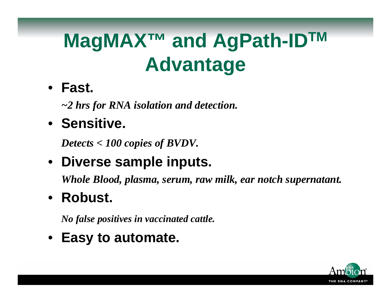## **MagMAX™ and AgPath-IDTM Advantage**

• **Fast.**

*~2 hrs for RNA isolation and detection.*

• **Sensitive.**

*Detects < 100 copies of BVDV.*

• **Diverse sample inputs.**

*Whole Blood, plasma, serum, raw milk, ear notch supernatant.*

• **Robust.**

*No false positives in vaccinated cattle.*

• **Easy to automate.**

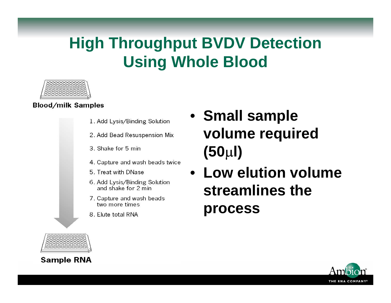### **High Throughput BVDV Detection Using Whole Blood**



**Blood/milk Samples** 

- 1. Add Lysis/Binding Solution
- 2. Add Bead Resuspension Mix
- 3. Shake for 5 min
- 4. Capture and wash beads twice
- 5. Treat with DNase
- 6. Add Lysis/Binding Solution and shake for 2 min
- 7. Capture and wash beads two more times
- 8. Elute total RNA
- **Small sample volume required (50** µ**l)**
- **Low elution volume streamlines the process**





**Sample RNA**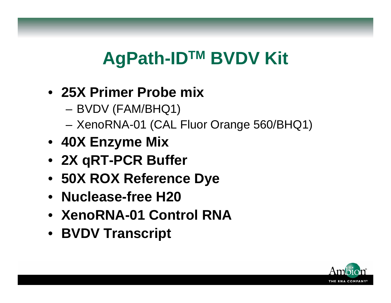## **AgPath-IDTM BVDV Kit**

- **25X Primer Probe mix** 
	- –BVDV (FAM/BHQ1)
	- **Links of the Company** XenoRNA-01 (CAL Fluor Orange 560/BHQ1)
- **40X Enzyme Mix**
- **2X qRT-PCR Buffer**
- **50X ROX Reference Dye**
- **Nuclease-free H20**
- **XenoRNA-01 Control RNA**
- **BVDV Transcript**

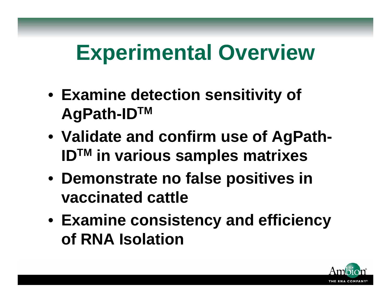# **Experimental Overview**

- **Examine detection sensitivity of AgPath-IDTM**
- **Validate and confirm use of AgPath-IDTM in various samples matrixes**
- **Demonstrate no false positives in vaccinated cattle**
- **Examine consistency and efficiency of RNA Isolation**

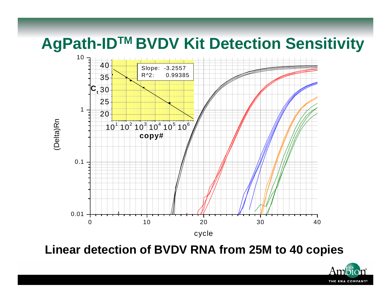**AgPath-IDTM BVDV Kit Detection Sensitivity**



**Linear detection of BVDV RNA from 25M to 40 copies**

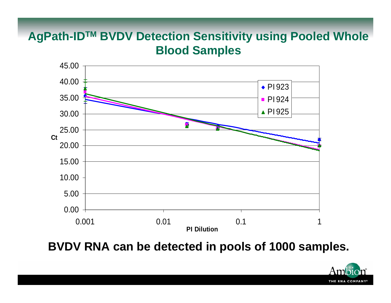#### **AgPath-IDTM BVDV Detection Sensitivity using Pooled Whole Blood Samples**



**BVDV RNA can be detected in pools of 1000 samples.** 

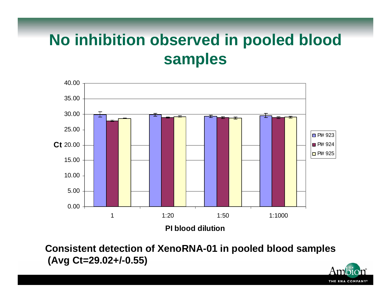### **No inhibition observed in pooled blood samples**



**Consistent detection of XenoRNA-01 in pooled blood samples (Avg Ct=29.02+/-0.55)**

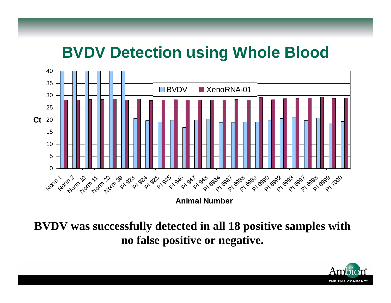### **BVDV Detection using Whole Blood**



#### **BVDV was successfully detected in all 18 positive samples with no false positive or negative.**

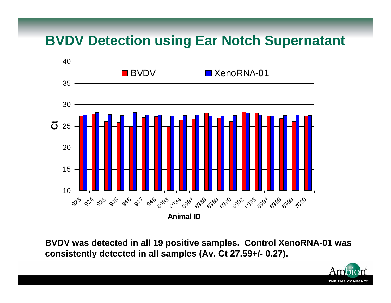#### **BVDV Detection using Ear Notch Supernatant**



**BVDV was detected in all 19 positive samples. Control XenoRNA-01 was consistently detected in all samples (Av. Ct 27.59+/- 0.27).**

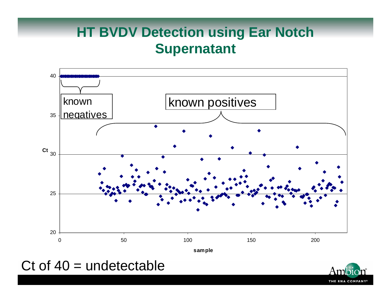### **HT BVDV Detection using Ear Notch Supernatant**



#### Ct of  $40$  = undetectable

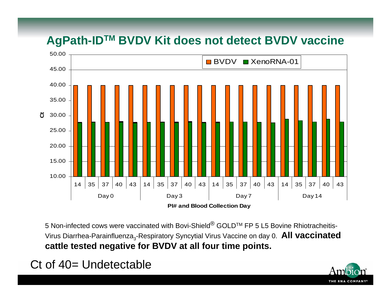#### **AgPath-IDTM BVDV Kit does not detect BVDV vaccine**



5 Non-infected cows were vaccinated with Bovi-Shield<sup>®</sup> GOLD™ FP 5 L5 Bovine Rhiotracheitis-Virus Diarrhea-Parainfluenza<sub>3</sub>-Respiratory Syncytial Virus Vaccine on day 0. **All vaccinated cattle tested negative for BVDV at all four time points.**

#### Ct of 40= Undetectable

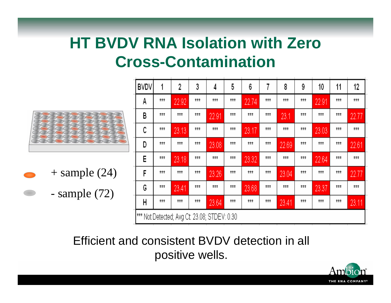### **HT BVDV RNA Isolation with Zero Cross-Contamination**



 $+$  sample (24) - sample (72)

| BVDV | 1                                                       | 2             | 3   | 4             | 5             | 6             | 7             | 8     | 9             | 10    | 11            | 12            |  |
|------|---------------------------------------------------------|---------------|-----|---------------|---------------|---------------|---------------|-------|---------------|-------|---------------|---------------|--|
| А    | ###                                                     | 22.92         | ### | ###           | ###           | 22.74         | ###           | ###   | ###           | 22.91 | ###           | ###           |  |
| В    | ###                                                     | $\pm \pm \pm$ | ### | 22.91         | ###           | $\pm \pm \pm$ | ###           | 23.1  | ###           | ###   | ***           | 22.77         |  |
| С    | $\pm \pm \pm$                                           | 23.13         | ### | $\pm \pm \pm$ | $\pm \pm \pm$ | 23.17         | $\pm \pm \pm$ | ###   | $***$         | 23.03 | $\pm \pm \pm$ | $\pm \pm \pm$ |  |
| D    | ###                                                     | ###           | ### | 23.08         | ###           | ###           | ###           | 22.69 | ###           | ###   | ###           | 22.61         |  |
| Е    | ###                                                     | 23.18         | ### | ###           | ###           | 23.32         | ###           | ###   | ###           | 22.64 | ***           | ###           |  |
| F    | ###                                                     | $\pm \pm \pm$ | ### | 23.26         | ###           | ###           | ###           | 23.04 | ###           | ###   | ###           | 22.77         |  |
| C    | ###                                                     | 23.41         | ### | ###           | $\pm \pm \pm$ | 23.68         | $\pm \pm \pm$ | ###   | $\pm \pm \pm$ | 23.37 | $\pm \pm \pm$ | $\pm \pm \pm$ |  |
| Н    | $\pm \pm \pm$                                           | ###           | ### | 23.64         | $\pm \pm \pm$ | ###           | ###           | 23.41 | ###           | ###   | ###           | 23.11         |  |
|      | <sup>***</sup> Not Detected; Avg Ct: 23.08; STDEV: 0.30 |               |     |               |               |               |               |       |               |       |               |               |  |

Efficient and consistent BVDV detection in all positive wells.

![](_page_15_Picture_5.jpeg)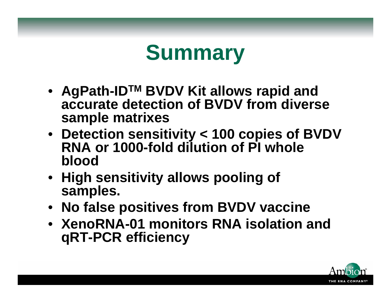![](_page_16_Picture_0.jpeg)

- **AgPath-IDTM BVDV Kit allows rapid and accurate detection of BVDV from diverse sample matrixes**
- **Detection sensitivity < 100 copies of BVDV RNA or 1000-fold dilution of PI whole blood**
- **High sensitivity allows pooling of samples.**
- **No false positives from BVDV vaccine**
- **XenoRNA-01 monitors RNA isolation and qRT-PCR efficiency**

![](_page_16_Picture_6.jpeg)